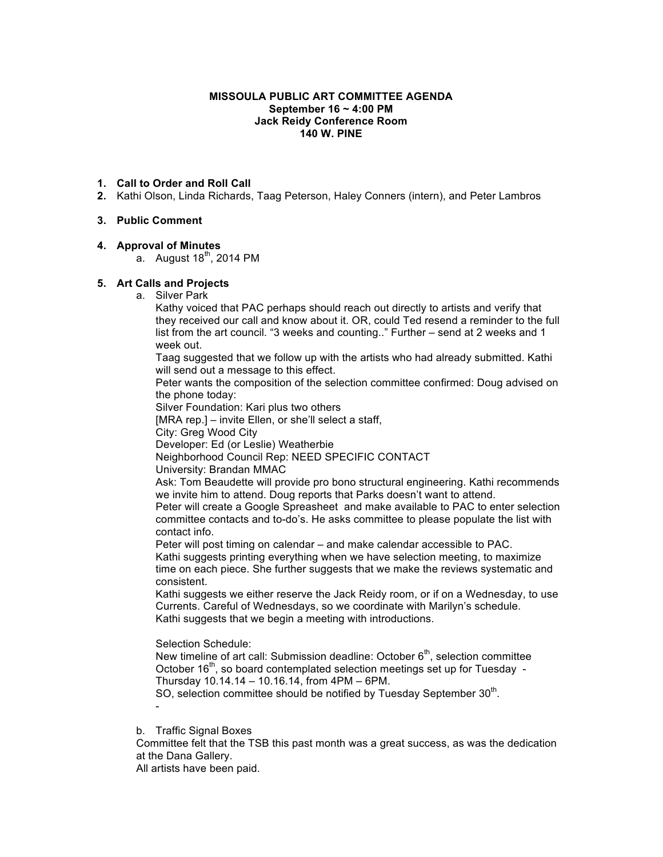#### **MISSOULA PUBLIC ART COMMITTEE AGENDA September 16 ~ 4:00 PM Jack Reidy Conference Room 140 W. PINE**

# **1. Call to Order and Roll Call**

**2.** Kathi Olson, Linda Richards, Taag Peterson, Haley Conners (intern), and Peter Lambros

# **3. Public Comment**

# **4. Approval of Minutes**

a. August  $18<sup>th</sup>$ , 2014 PM

# **5. Art Calls and Projects**

a. Silver Park

Kathy voiced that PAC perhaps should reach out directly to artists and verify that they received our call and know about it. OR, could Ted resend a reminder to the full list from the art council. "3 weeks and counting.." Further – send at 2 weeks and 1 week out.

Taag suggested that we follow up with the artists who had already submitted. Kathi will send out a message to this effect.

Peter wants the composition of the selection committee confirmed: Doug advised on the phone today:

Silver Foundation: Kari plus two others

[MRA rep.] – invite Ellen, or she'll select a staff,

City: Greg Wood City

Developer: Ed (or Leslie) Weatherbie

Neighborhood Council Rep: NEED SPECIFIC CONTACT

University: Brandan MMAC

Ask: Tom Beaudette will provide pro bono structural engineering. Kathi recommends we invite him to attend. Doug reports that Parks doesn't want to attend.

Peter will create a Google Spreasheet and make available to PAC to enter selection committee contacts and to-do's. He asks committee to please populate the list with contact info.

Peter will post timing on calendar – and make calendar accessible to PAC. Kathi suggests printing everything when we have selection meeting, to maximize time on each piece. She further suggests that we make the reviews systematic and consistent.

Kathi suggests we either reserve the Jack Reidy room, or if on a Wednesday, to use Currents. Careful of Wednesdays, so we coordinate with Marilyn's schedule. Kathi suggests that we begin a meeting with introductions.

Selection Schedule:

New timeline of art call: Submission deadline: October  $6<sup>th</sup>$ , selection committee October 16<sup>th</sup>, so board contemplated selection meetings set up for Tuesday -Thursday 10.14.14 – 10.16.14, from 4PM – 6PM.

SO, selection committee should be notified by Tuesday September 30<sup>th</sup>.

b. Traffic Signal Boxes

-

Committee felt that the TSB this past month was a great success, as was the dedication at the Dana Gallery.

All artists have been paid.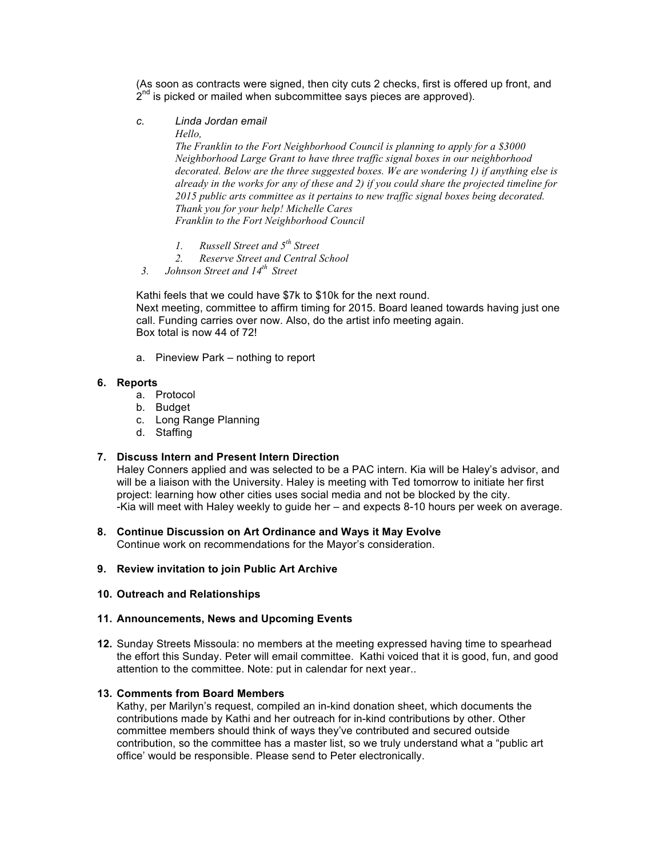(As soon as contracts were signed, then city cuts 2 checks, first is offered up front, and  $2^{nd}$  is picked or mailed when subcommittee says pieces are approved).

*c. Linda Jordan email*

*Hello,*

*The Franklin to the Fort Neighborhood Council is planning to apply for a \$3000 Neighborhood Large Grant to have three traffic signal boxes in our neighborhood decorated. Below are the three suggested boxes. We are wondering 1) if anything else is already in the works for any of these and 2) if you could share the projected timeline for 2015 public arts committee as it pertains to new traffic signal boxes being decorated. Thank you for your help! Michelle Cares Franklin to the Fort Neighborhood Council*

- *1. Russell Street and 5th Street*
- *2. Reserve Street and Central School*
- *3. Johnson Street and 14th Street*

Kathi feels that we could have \$7k to \$10k for the next round. Next meeting, committee to affirm timing for 2015. Board leaned towards having just one call. Funding carries over now. Also, do the artist info meeting again. Box total is now 44 of 72!

a. Pineview Park – nothing to report

#### **6. Reports**

- a. Protocol
- b. Budget
- c. Long Range Planning
- d. Staffing

### **7. Discuss Intern and Present Intern Direction**

Haley Conners applied and was selected to be a PAC intern. Kia will be Haley's advisor, and will be a liaison with the University. Haley is meeting with Ted tomorrow to initiate her first project: learning how other cities uses social media and not be blocked by the city. -Kia will meet with Haley weekly to guide her – and expects 8-10 hours per week on average.

**8. Continue Discussion on Art Ordinance and Ways it May Evolve**

Continue work on recommendations for the Mayor's consideration.

## **9. Review invitation to join Public Art Archive**

#### **10. Outreach and Relationships**

### **11. Announcements, News and Upcoming Events**

**12.** Sunday Streets Missoula: no members at the meeting expressed having time to spearhead the effort this Sunday. Peter will email committee. Kathi voiced that it is good, fun, and good attention to the committee. Note: put in calendar for next year..

## **13. Comments from Board Members**

Kathy, per Marilyn's request, compiled an in-kind donation sheet, which documents the contributions made by Kathi and her outreach for in-kind contributions by other. Other committee members should think of ways they've contributed and secured outside contribution, so the committee has a master list, so we truly understand what a "public art office' would be responsible. Please send to Peter electronically.